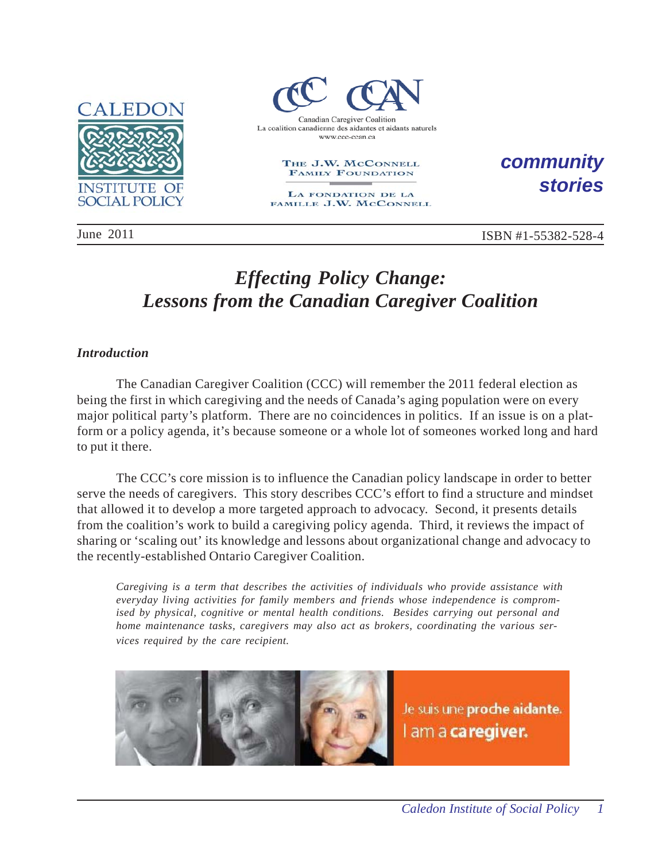



#### THE J.W. MCCONNELL **FAMILY FOUNDATION**

LA FONDATION DE LA FAMILLE J.W. MCCONNELL *community stories*

June 2011 **ISBN #1-55382-528-4** 

# *Effecting Policy Change: Lessons from the Canadian Caregiver Coalition*

## *Introduction*

The Canadian Caregiver Coalition (CCC) will remember the 2011 federal election as being the first in which caregiving and the needs of Canada's aging population were on every major political party's platform. There are no coincidences in politics. If an issue is on a platform or a policy agenda, it's because someone or a whole lot of someones worked long and hard to put it there.

The CCC's core mission is to influence the Canadian policy landscape in order to better serve the needs of caregivers. This story describes CCC's effort to find a structure and mindset that allowed it to develop a more targeted approach to advocacy. Second, it presents details from the coalition's work to build a caregiving policy agenda. Third, it reviews the impact of sharing or 'scaling out' its knowledge and lessons about organizational change and advocacy to the recently-established Ontario Caregiver Coalition.

*Caregiving is a term that describes the activities of individuals who provide assistance with everyday living activities for family members and friends whose independence is compromised by physical, cognitive or mental health conditions. Besides carrying out personal and home maintenance tasks, caregivers may also act as brokers, coordinating the various services required by the care recipient.*

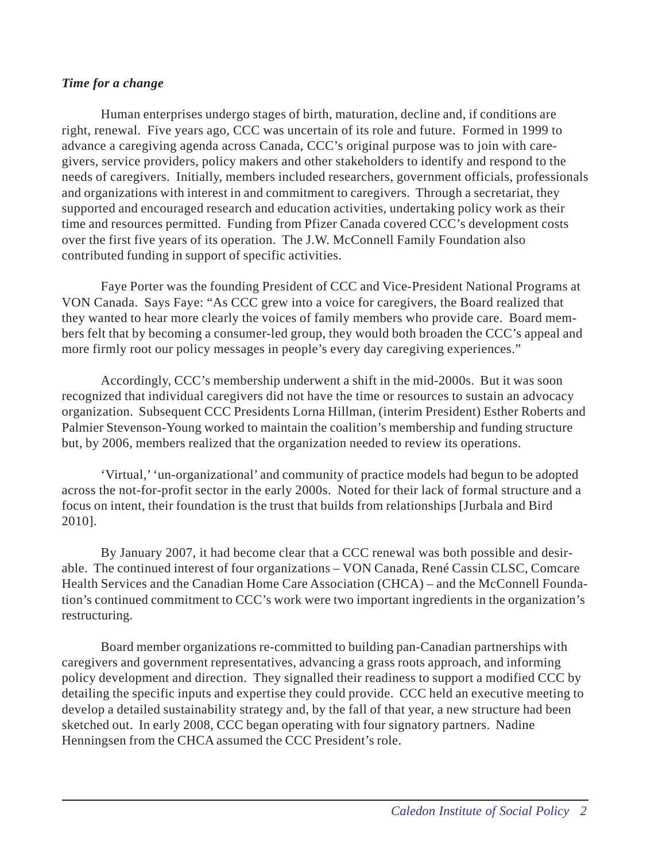#### *Time for a change*

Human enterprises undergo stages of birth, maturation, decline and, if conditions are right, renewal. Five years ago, CCC was uncertain of its role and future. Formed in 1999 to advance a caregiving agenda across Canada, CCC's original purpose was to join with caregivers, service providers, policy makers and other stakeholders to identify and respond to the needs of caregivers. Initially, members included researchers, government officials, professionals and organizations with interest in and commitment to caregivers. Through a secretariat, they supported and encouraged research and education activities, undertaking policy work as their time and resources permitted. Funding from Pfizer Canada covered CCC's development costs over the first five years of its operation. The J.W. McConnell Family Foundation also contributed funding in support of specific activities.

Faye Porter was the founding President of CCC and Vice-President National Programs at VON Canada. Says Faye: "As CCC grew into a voice for caregivers, the Board realized that they wanted to hear more clearly the voices of family members who provide care. Board members felt that by becoming a consumer-led group, they would both broaden the CCC's appeal and more firmly root our policy messages in people's every day caregiving experiences."

Accordingly, CCC's membership underwent a shift in the mid-2000s. But it was soon recognized that individual caregivers did not have the time or resources to sustain an advocacy organization. Subsequent CCC Presidents Lorna Hillman, (interim President) Esther Roberts and Palmier Stevenson-Young worked to maintain the coalition's membership and funding structure but, by 2006, members realized that the organization needed to review its operations.

'Virtual,' 'un-organizational' and community of practice models had begun to be adopted across the not-for-profit sector in the early 2000s. Noted for their lack of formal structure and a focus on intent, their foundation is the trust that builds from relationships [Jurbala and Bird 2010].

By January 2007, it had become clear that a CCC renewal was both possible and desirable. The continued interest of four organizations – VON Canada, René Cassin CLSC, Comcare Health Services and the Canadian Home Care Association (CHCA) – and the McConnell Foundation's continued commitment to CCC's work were two important ingredients in the organization's restructuring.

Board member organizations re-committed to building pan-Canadian partnerships with caregivers and government representatives, advancing a grass roots approach, and informing policy development and direction. They signalled their readiness to support a modified CCC by detailing the specific inputs and expertise they could provide. CCC held an executive meeting to develop a detailed sustainability strategy and, by the fall of that year, a new structure had been sketched out. In early 2008, CCC began operating with four signatory partners. Nadine Henningsen from the CHCA assumed the CCC President's role.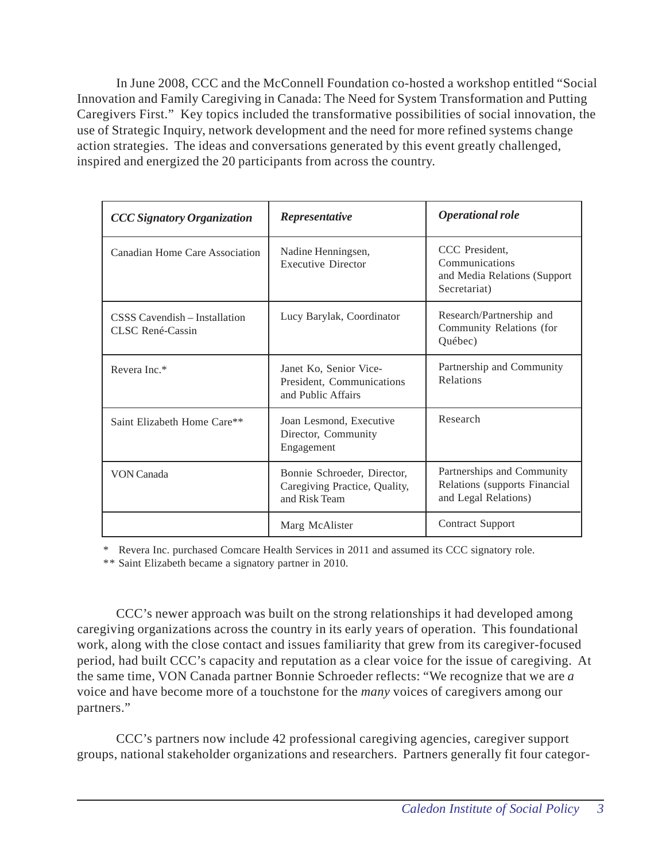In June 2008, CCC and the McConnell Foundation co-hosted a workshop entitled "Social Innovation and Family Caregiving in Canada: The Need for System Transformation and Putting Caregivers First." Key topics included the transformative possibilities of social innovation, the use of Strategic Inquiry, network development and the need for more refined systems change action strategies. The ideas and conversations generated by this event greatly challenged, inspired and energized the 20 participants from across the country.

| <b>CCC Signatory Organization</b>                 | Representative                                                                | <b>Operational role</b>                                                             |
|---------------------------------------------------|-------------------------------------------------------------------------------|-------------------------------------------------------------------------------------|
| Canadian Home Care Association                    | Nadine Henningsen,<br><b>Executive Director</b>                               | CCC President,<br>Communications<br>and Media Relations (Support<br>Secretariat)    |
| CSSS Cavendish – Installation<br>CLSC René-Cassin | Lucy Barylak, Coordinator                                                     | Research/Partnership and<br>Community Relations (for<br>Québec)                     |
| Revera Inc.*                                      | Janet Ko, Senior Vice-<br>President, Communications<br>and Public Affairs     | Partnership and Community<br>Relations                                              |
| Saint Elizabeth Home Care**                       | Joan Lesmond, Executive<br>Director, Community<br>Engagement                  | Research                                                                            |
| VON Canada                                        | Bonnie Schroeder, Director,<br>Caregiving Practice, Quality,<br>and Risk Team | Partnerships and Community<br>Relations (supports Financial<br>and Legal Relations) |
|                                                   | Marg McAlister                                                                | <b>Contract Support</b>                                                             |

\* Revera Inc. purchased Comcare Health Services in 2011 and assumed its CCC signatory role.

\*\* Saint Elizabeth became a signatory partner in 2010.

CCC's newer approach was built on the strong relationships it had developed among caregiving organizations across the country in its early years of operation. This foundational work, along with the close contact and issues familiarity that grew from its caregiver-focused period, had built CCC's capacity and reputation as a clear voice for the issue of caregiving. At the same time, VON Canada partner Bonnie Schroeder reflects: "We recognize that we are *a* voice and have become more of a touchstone for the *many* voices of caregivers among our partners."

CCC's partners now include 42 professional caregiving agencies, caregiver support groups, national stakeholder organizations and researchers. Partners generally fit four categor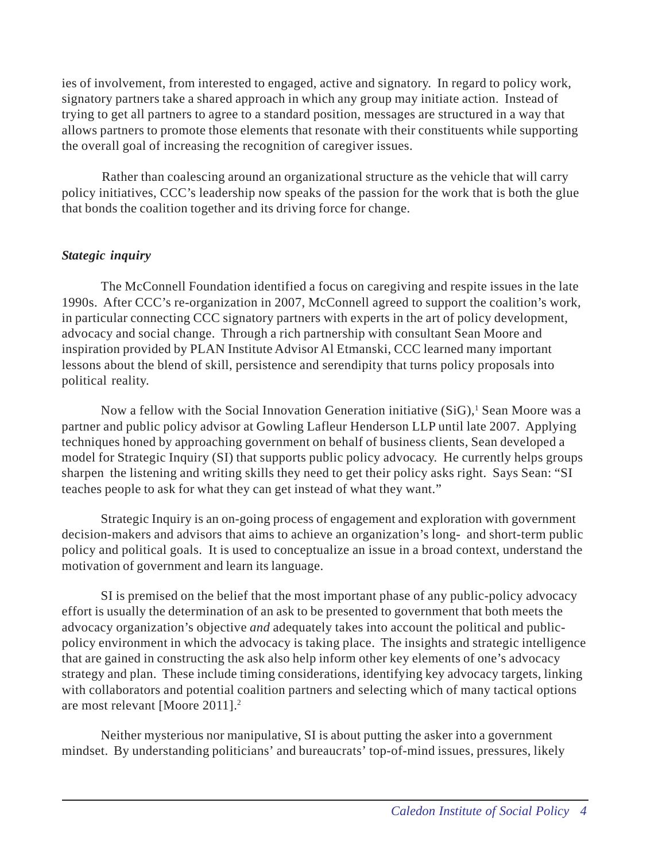ies of involvement, from interested to engaged, active and signatory. In regard to policy work, signatory partners take a shared approach in which any group may initiate action. Instead of trying to get all partners to agree to a standard position, messages are structured in a way that allows partners to promote those elements that resonate with their constituents while supporting the overall goal of increasing the recognition of caregiver issues.

Rather than coalescing around an organizational structure as the vehicle that will carry policy initiatives, CCC's leadership now speaks of the passion for the work that is both the glue that bonds the coalition together and its driving force for change.

# *Stategic inquiry*

The McConnell Foundation identified a focus on caregiving and respite issues in the late 1990s. After CCC's re-organization in 2007, McConnell agreed to support the coalition's work, in particular connecting CCC signatory partners with experts in the art of policy development, advocacy and social change. Through a rich partnership with consultant Sean Moore and inspiration provided by PLAN Institute Advisor Al Etmanski, CCC learned many important lessons about the blend of skill, persistence and serendipity that turns policy proposals into political reality.

Now a fellow with the Social Innovation Generation initiative (SiG),<sup>1</sup> Sean Moore was a partner and public policy advisor at Gowling Lafleur Henderson LLP until late 2007. Applying techniques honed by approaching government on behalf of business clients, Sean developed a model for Strategic Inquiry (SI) that supports public policy advocacy. He currently helps groups sharpen the listening and writing skills they need to get their policy asks right. Says Sean: "SI teaches people to ask for what they can get instead of what they want."

Strategic Inquiry is an on-going process of engagement and exploration with government decision-makers and advisors that aims to achieve an organization's long- and short-term public policy and political goals. It is used to conceptualize an issue in a broad context, understand the motivation of government and learn its language.

SI is premised on the belief that the most important phase of any public-policy advocacy effort is usually the determination of an ask to be presented to government that both meets the advocacy organization's objective *and* adequately takes into account the political and publicpolicy environment in which the advocacy is taking place. The insights and strategic intelligence that are gained in constructing the ask also help inform other key elements of one's advocacy strategy and plan. These include timing considerations, identifying key advocacy targets, linking with collaborators and potential coalition partners and selecting which of many tactical options are most relevant [Moore 2011].2

Neither mysterious nor manipulative, SI is about putting the asker into a government mindset. By understanding politicians' and bureaucrats' top-of-mind issues, pressures, likely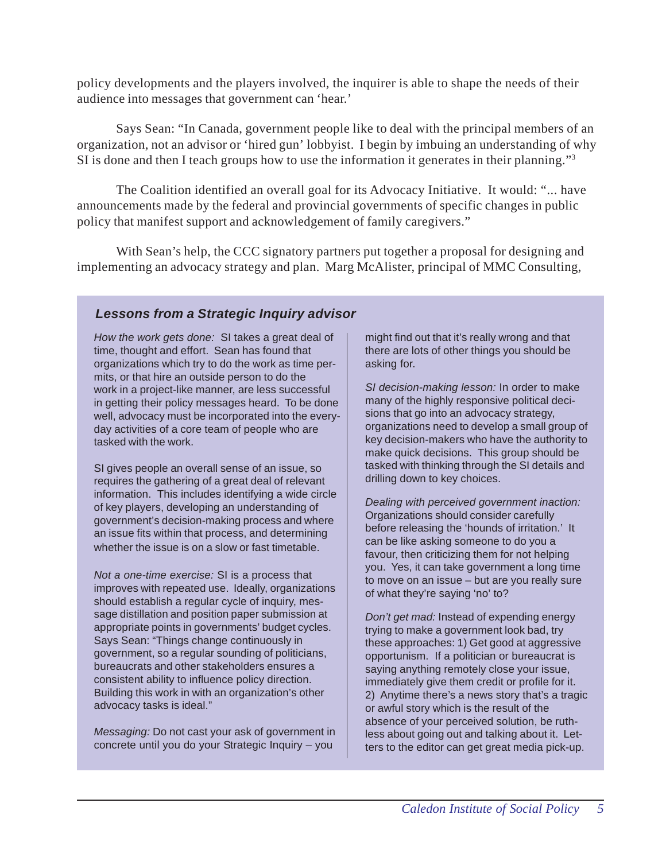policy developments and the players involved, the inquirer is able to shape the needs of their audience into messages that government can 'hear.'

Says Sean: "In Canada, government people like to deal with the principal members of an organization, not an advisor or 'hired gun' lobbyist. I begin by imbuing an understanding of why SI is done and then I teach groups how to use the information it generates in their planning."3

The Coalition identified an overall goal for its Advocacy Initiative. It would: "... have announcements made by the federal and provincial governments of specific changes in public policy that manifest support and acknowledgement of family caregivers."

With Sean's help, the CCC signatory partners put together a proposal for designing and implementing an advocacy strategy and plan. Marg McAlister, principal of MMC Consulting,

## *Lessons from a Strategic Inquiry advisor*

*How the work gets done:* SI takes a great deal of time, thought and effort. Sean has found that organizations which try to do the work as time permits, or that hire an outside person to do the work in a project-like manner, are less successful in getting their policy messages heard. To be done well, advocacy must be incorporated into the everyday activities of a core team of people who are tasked with the work.

SI gives people an overall sense of an issue, so requires the gathering of a great deal of relevant information. This includes identifying a wide circle of key players, developing an understanding of government's decision-making process and where an issue fits within that process, and determining whether the issue is on a slow or fast timetable.

*Not a one-time exercise:* SI is a process that improves with repeated use. Ideally, organizations should establish a regular cycle of inquiry, message distillation and position paper submission at appropriate points in governments' budget cycles. Says Sean: "Things change continuously in government, so a regular sounding of politicians, bureaucrats and other stakeholders ensures a consistent ability to influence policy direction. Building this work in with an organization's other advocacy tasks is ideal."

*Messaging:* Do not cast your ask of government in concrete until you do your Strategic Inquiry – you

might find out that it's really wrong and that there are lots of other things you should be asking for.

*SI decision-making lesson:* In order to make many of the highly responsive political decisions that go into an advocacy strategy, organizations need to develop a small group of key decision-makers who have the authority to make quick decisions. This group should be tasked with thinking through the SI details and drilling down to key choices.

*Dealing with perceived government inaction:* Organizations should consider carefully before releasing the 'hounds of irritation.' It can be like asking someone to do you a favour, then criticizing them for not helping you. Yes, it can take government a long time to move on an issue – but are you really sure of what they're saying 'no' to?

*Don't get mad:* Instead of expending energy trying to make a government look bad, try these approaches: 1) Get good at aggressive opportunism. If a politician or bureaucrat is saying anything remotely close your issue, immediately give them credit or profile for it. 2) Anytime there's a news story that's a tragic or awful story which is the result of the absence of your perceived solution, be ruthless about going out and talking about it. Letters to the editor can get great media pick-up.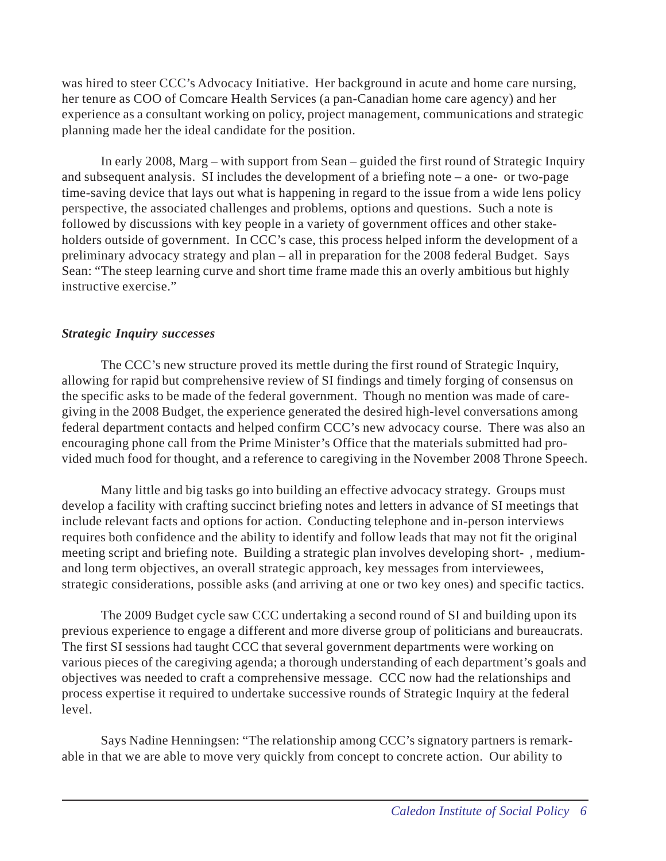was hired to steer CCC's Advocacy Initiative. Her background in acute and home care nursing, her tenure as COO of Comcare Health Services (a pan-Canadian home care agency) and her experience as a consultant working on policy, project management, communications and strategic planning made her the ideal candidate for the position.

In early 2008, Marg – with support from Sean – guided the first round of Strategic Inquiry and subsequent analysis. SI includes the development of a briefing note – a one- or two-page time-saving device that lays out what is happening in regard to the issue from a wide lens policy perspective, the associated challenges and problems, options and questions. Such a note is followed by discussions with key people in a variety of government offices and other stakeholders outside of government. In CCC's case, this process helped inform the development of a preliminary advocacy strategy and plan – all in preparation for the 2008 federal Budget. Says Sean: "The steep learning curve and short time frame made this an overly ambitious but highly instructive exercise."

#### *Strategic Inquiry successes*

The CCC's new structure proved its mettle during the first round of Strategic Inquiry, allowing for rapid but comprehensive review of SI findings and timely forging of consensus on the specific asks to be made of the federal government. Though no mention was made of caregiving in the 2008 Budget, the experience generated the desired high-level conversations among federal department contacts and helped confirm CCC's new advocacy course. There was also an encouraging phone call from the Prime Minister's Office that the materials submitted had provided much food for thought, and a reference to caregiving in the November 2008 Throne Speech.

Many little and big tasks go into building an effective advocacy strategy. Groups must develop a facility with crafting succinct briefing notes and letters in advance of SI meetings that include relevant facts and options for action. Conducting telephone and in-person interviews requires both confidence and the ability to identify and follow leads that may not fit the original meeting script and briefing note. Building a strategic plan involves developing short- , mediumand long term objectives, an overall strategic approach, key messages from interviewees, strategic considerations, possible asks (and arriving at one or two key ones) and specific tactics.

The 2009 Budget cycle saw CCC undertaking a second round of SI and building upon its previous experience to engage a different and more diverse group of politicians and bureaucrats. The first SI sessions had taught CCC that several government departments were working on various pieces of the caregiving agenda; a thorough understanding of each department's goals and objectives was needed to craft a comprehensive message. CCC now had the relationships and process expertise it required to undertake successive rounds of Strategic Inquiry at the federal level.

Says Nadine Henningsen: "The relationship among CCC's signatory partners is remarkable in that we are able to move very quickly from concept to concrete action. Our ability to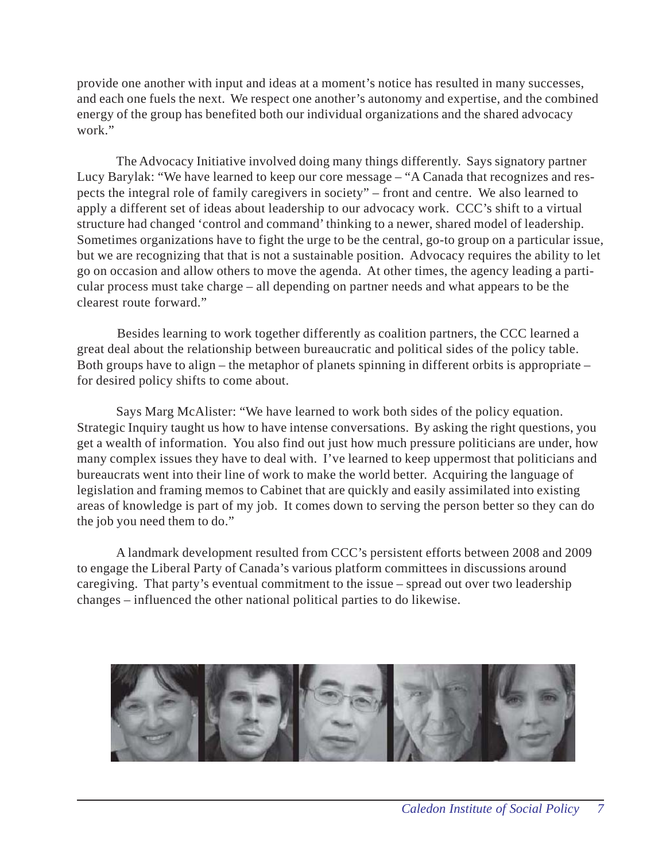provide one another with input and ideas at a moment's notice has resulted in many successes, and each one fuels the next. We respect one another's autonomy and expertise, and the combined energy of the group has benefited both our individual organizations and the shared advocacy work."

The Advocacy Initiative involved doing many things differently. Says signatory partner Lucy Barylak: "We have learned to keep our core message – "A Canada that recognizes and respects the integral role of family caregivers in society" – front and centre. We also learned to apply a different set of ideas about leadership to our advocacy work. CCC's shift to a virtual structure had changed 'control and command' thinking to a newer, shared model of leadership. Sometimes organizations have to fight the urge to be the central, go-to group on a particular issue, but we are recognizing that that is not a sustainable position. Advocacy requires the ability to let go on occasion and allow others to move the agenda. At other times, the agency leading a particular process must take charge – all depending on partner needs and what appears to be the clearest route forward."

Besides learning to work together differently as coalition partners, the CCC learned a great deal about the relationship between bureaucratic and political sides of the policy table. Both groups have to align – the metaphor of planets spinning in different orbits is appropriate – for desired policy shifts to come about.

Says Marg McAlister: "We have learned to work both sides of the policy equation. Strategic Inquiry taught us how to have intense conversations. By asking the right questions, you get a wealth of information. You also find out just how much pressure politicians are under, how many complex issues they have to deal with. I've learned to keep uppermost that politicians and bureaucrats went into their line of work to make the world better. Acquiring the language of legislation and framing memos to Cabinet that are quickly and easily assimilated into existing areas of knowledge is part of my job. It comes down to serving the person better so they can do the job you need them to do."

A landmark development resulted from CCC's persistent efforts between 2008 and 2009 to engage the Liberal Party of Canada's various platform committees in discussions around caregiving. That party's eventual commitment to the issue – spread out over two leadership changes – influenced the other national political parties to do likewise.

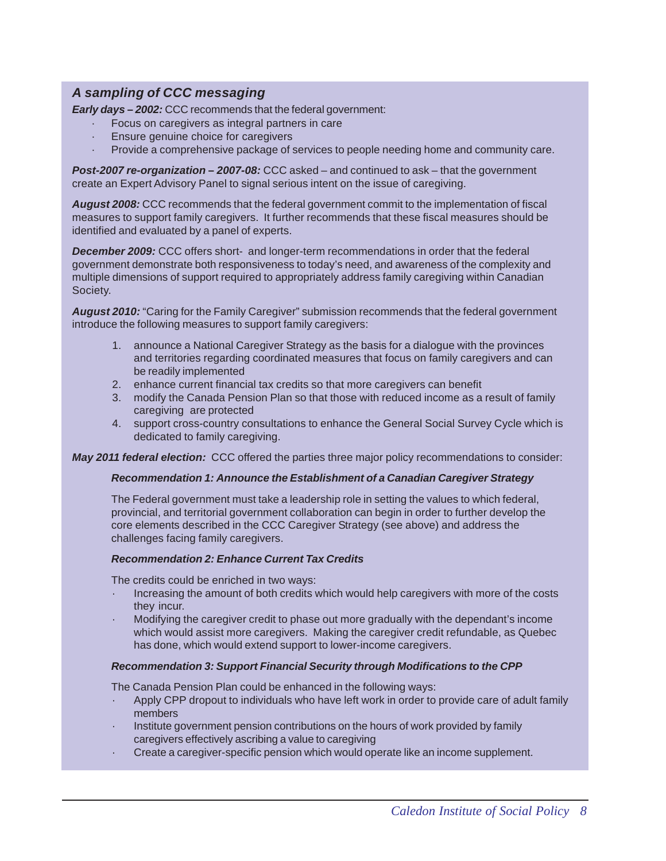## *A sampling of CCC messaging*

*Early days – 2002: CCC recommends that the federal government:* 

- Focus on caregivers as integral partners in care
- Ensure genuine choice for caregivers
- Provide a comprehensive package of services to people needing home and community care.

*Post-2007 re-organization* **–** *2007-08:* CCC asked – and continued to ask – that the government create an Expert Advisory Panel to signal serious intent on the issue of caregiving.

*August 2008:* CCC recommends that the federal government commit to the implementation of fiscal measures to support family caregivers. It further recommends that these fiscal measures should be identified and evaluated by a panel of experts.

*December 2009:* CCC offers short- and longer-term recommendations in order that the federal government demonstrate both responsiveness to today's need, and awareness of the complexity and multiple dimensions of support required to appropriately address family caregiving within Canadian Society.

*August 2010:* "Caring for the Family Caregiver" submission recommends that the federal government introduce the following measures to support family caregivers:

- 1. announce a National Caregiver Strategy as the basis for a dialogue with the provinces and territories regarding coordinated measures that focus on family caregivers and can be readily implemented
- 2. enhance current financial tax credits so that more caregivers can benefit
- 3. modify the Canada Pension Plan so that those with reduced income as a result of family caregiving are protected
- 4. support cross-country consultations to enhance the General Social Survey Cycle which is dedicated to family caregiving.

*May 2011 federal election:* CCC offered the parties three major policy recommendations to consider:

#### *Recommendation 1: Announce the Establishment of a Canadian Caregiver Strategy*

The Federal government must take a leadership role in setting the values to which federal, provincial, and territorial government collaboration can begin in order to further develop the core elements described in the CCC Caregiver Strategy (see above) and address the challenges facing family caregivers.

#### *Recommendation 2: Enhance Current Tax Credits*

The credits could be enriched in two ways:

- · Increasing the amount of both credits which would help caregivers with more of the costs they incur.
- · Modifying the caregiver credit to phase out more gradually with the dependant's income which would assist more caregivers. Making the caregiver credit refundable, as Quebec has done, which would extend support to lower-income caregivers.

#### *Recommendation 3: Support Financial Security through Modifications to the CPP*

The Canada Pension Plan could be enhanced in the following ways:

- Apply CPP dropout to individuals who have left work in order to provide care of adult family members
- Institute government pension contributions on the hours of work provided by family caregivers effectively ascribing a value to caregiving
- · Create a caregiver-specific pension which would operate like an income supplement.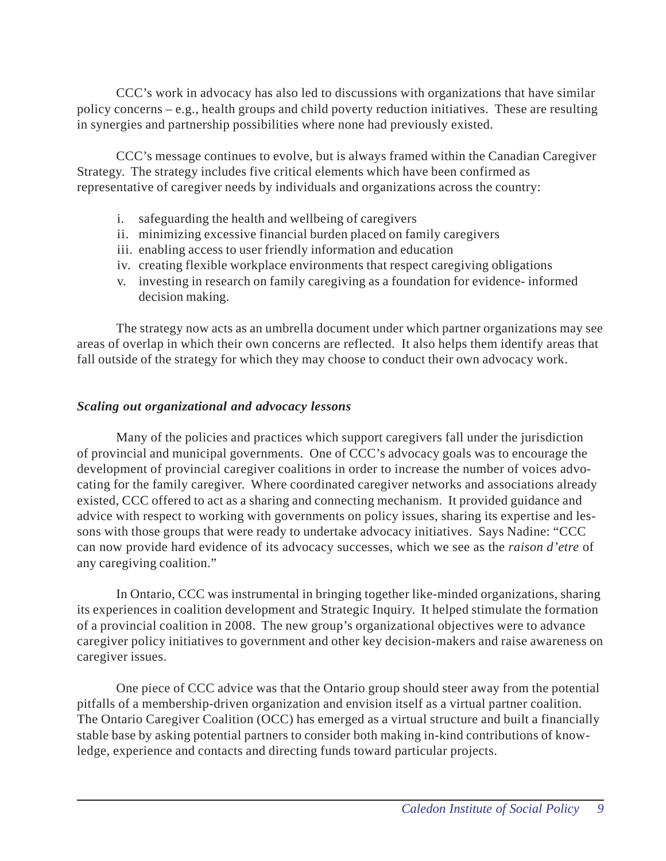CCC's work in advocacy has also led to discussions with organizations that have similar policy concerns – e.g., health groups and child poverty reduction initiatives. These are resulting in synergies and partnership possibilities where none had previously existed.

CCC's message continues to evolve, but is always framed within the Canadian Caregiver Strategy. The strategy includes five critical elements which have been confirmed as representative of caregiver needs by individuals and organizations across the country:

- i. safeguarding the health and wellbeing of caregivers
- ii. minimizing excessive financial burden placed on family caregivers
- iii. enabling access to user friendly information and education
- iv. creating flexible workplace environments that respect caregiving obligations
- v. investing in research on family caregiving as a foundation for evidence- informed decision making.

The strategy now acts as an umbrella document under which partner organizations may see areas of overlap in which their own concerns are reflected. It also helps them identify areas that fall outside of the strategy for which they may choose to conduct their own advocacy work.

## *Scaling out organizational and advocacy lessons*

Many of the policies and practices which support caregivers fall under the jurisdiction of provincial and municipal governments. One of CCC's advocacy goals was to encourage the development of provincial caregiver coalitions in order to increase the number of voices advocating for the family caregiver. Where coordinated caregiver networks and associations already existed, CCC offered to act as a sharing and connecting mechanism. It provided guidance and advice with respect to working with governments on policy issues, sharing its expertise and lessons with those groups that were ready to undertake advocacy initiatives. Says Nadine: "CCC can now provide hard evidence of its advocacy successes, which we see as the *raison d'etre* of any caregiving coalition."

In Ontario, CCC was instrumental in bringing together like-minded organizations, sharing its experiences in coalition development and Strategic Inquiry. It helped stimulate the formation of a provincial coalition in 2008. The new group's organizational objectives were to advance caregiver policy initiatives to government and other key decision-makers and raise awareness on caregiver issues.

One piece of CCC advice was that the Ontario group should steer away from the potential pitfalls of a membership-driven organization and envision itself as a virtual partner coalition. The Ontario Caregiver Coalition (OCC) has emerged as a virtual structure and built a financially stable base by asking potential partners to consider both making in-kind contributions of knowledge, experience and contacts and directing funds toward particular projects.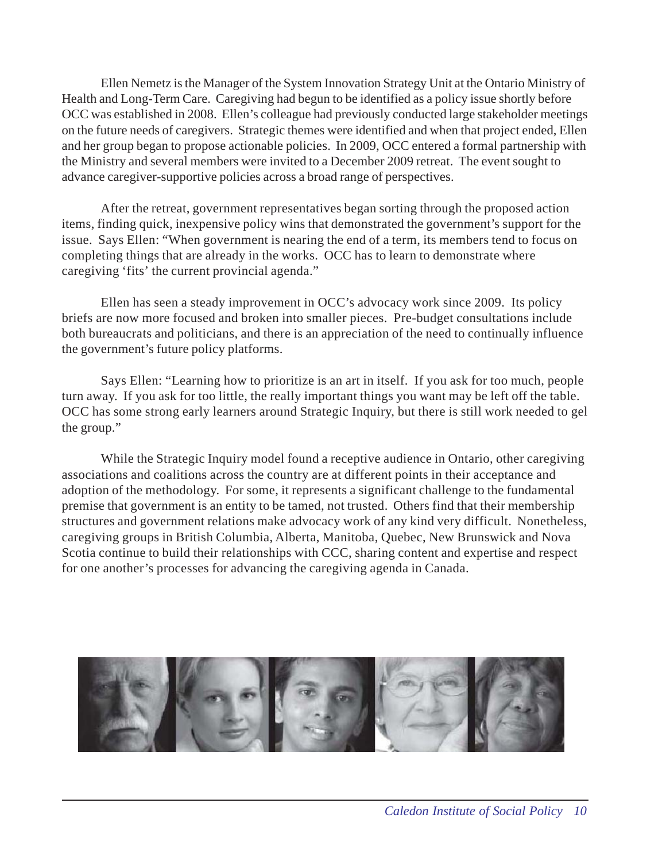Ellen Nemetz is the Manager of the System Innovation Strategy Unit at the Ontario Ministry of Health and Long-Term Care. Caregiving had begun to be identified as a policy issue shortly before OCC was established in 2008. Ellen's colleague had previously conducted large stakeholder meetings on the future needs of caregivers. Strategic themes were identified and when that project ended, Ellen and her group began to propose actionable policies. In 2009, OCC entered a formal partnership with the Ministry and several members were invited to a December 2009 retreat. The event sought to advance caregiver-supportive policies across a broad range of perspectives.

After the retreat, government representatives began sorting through the proposed action items, finding quick, inexpensive policy wins that demonstrated the government's support for the issue. Says Ellen: "When government is nearing the end of a term, its members tend to focus on completing things that are already in the works. OCC has to learn to demonstrate where caregiving 'fits' the current provincial agenda."

Ellen has seen a steady improvement in OCC's advocacy work since 2009. Its policy briefs are now more focused and broken into smaller pieces. Pre-budget consultations include both bureaucrats and politicians, and there is an appreciation of the need to continually influence the government's future policy platforms.

Says Ellen: "Learning how to prioritize is an art in itself. If you ask for too much, people turn away. If you ask for too little, the really important things you want may be left off the table. OCC has some strong early learners around Strategic Inquiry, but there is still work needed to gel the group."

While the Strategic Inquiry model found a receptive audience in Ontario, other caregiving associations and coalitions across the country are at different points in their acceptance and adoption of the methodology. For some, it represents a significant challenge to the fundamental premise that government is an entity to be tamed, not trusted. Others find that their membership structures and government relations make advocacy work of any kind very difficult. Nonetheless, caregiving groups in British Columbia, Alberta, Manitoba, Quebec, New Brunswick and Nova Scotia continue to build their relationships with CCC, sharing content and expertise and respect for one another's processes for advancing the caregiving agenda in Canada.

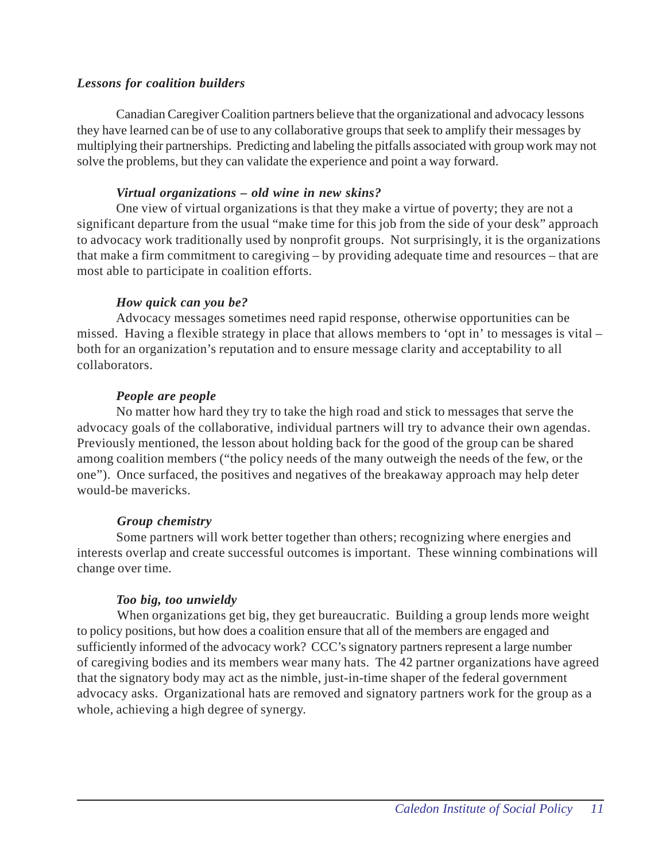# *Lessons for coalition builders*

Canadian Caregiver Coalition partners believe that the organizational and advocacy lessons they have learned can be of use to any collaborative groups that seek to amplify their messages by multiplying their partnerships. Predicting and labeling the pitfalls associated with group work may not solve the problems, but they can validate the experience and point a way forward.

## *Virtual organizations – old wine in new skins?*

One view of virtual organizations is that they make a virtue of poverty; they are not a significant departure from the usual "make time for this job from the side of your desk" approach to advocacy work traditionally used by nonprofit groups. Not surprisingly, it is the organizations that make a firm commitment to caregiving – by providing adequate time and resources – that are most able to participate in coalition efforts.

# *How quick can you be?*

Advocacy messages sometimes need rapid response, otherwise opportunities can be missed. Having a flexible strategy in place that allows members to 'opt in' to messages is vital – both for an organization's reputation and to ensure message clarity and acceptability to all collaborators.

# *People are people*

No matter how hard they try to take the high road and stick to messages that serve the advocacy goals of the collaborative, individual partners will try to advance their own agendas. Previously mentioned, the lesson about holding back for the good of the group can be shared among coalition members ("the policy needs of the many outweigh the needs of the few, or the one"). Once surfaced, the positives and negatives of the breakaway approach may help deter would-be mavericks.

#### *Group chemistry*

Some partners will work better together than others; recognizing where energies and interests overlap and create successful outcomes is important. These winning combinations will change over time.

# *Too big, too unwieldy*

When organizations get big, they get bureaucratic. Building a group lends more weight to policy positions, but how does a coalition ensure that all of the members are engaged and sufficiently informed of the advocacy work? CCC's signatory partners represent a large number of caregiving bodies and its members wear many hats. The 42 partner organizations have agreed that the signatory body may act as the nimble, just-in-time shaper of the federal government advocacy asks. Organizational hats are removed and signatory partners work for the group as a whole, achieving a high degree of synergy.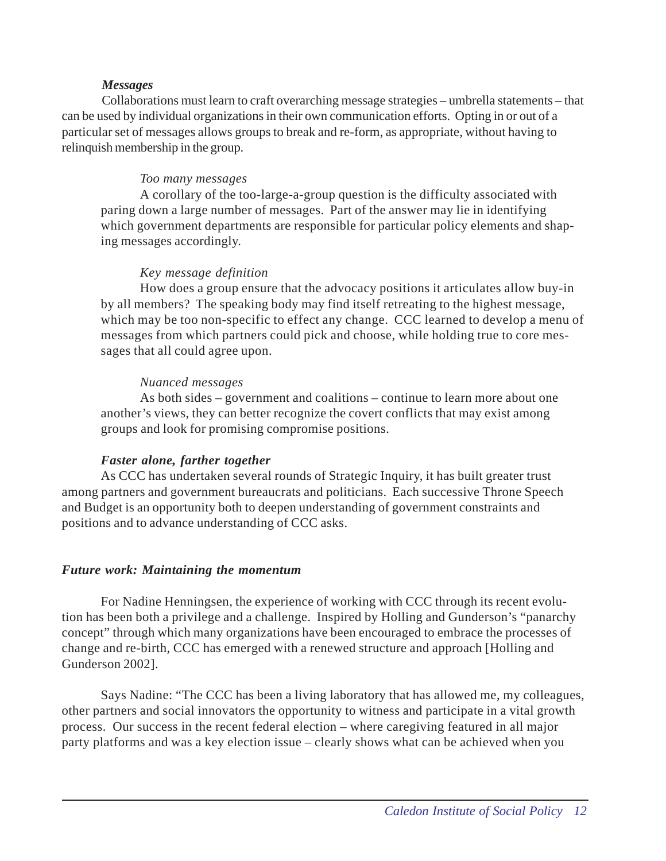#### *Messages*

Collaborations must learn to craft overarching message strategies – umbrella statements – that can be used by individual organizations in their own communication efforts. Opting in or out of a particular set of messages allows groups to break and re-form, as appropriate, without having to relinquish membership in the group.

# *Too many messages*

A corollary of the too-large-a-group question is the difficulty associated with paring down a large number of messages. Part of the answer may lie in identifying which government departments are responsible for particular policy elements and shaping messages accordingly.

## *Key message definition*

How does a group ensure that the advocacy positions it articulates allow buy-in by all members? The speaking body may find itself retreating to the highest message, which may be too non-specific to effect any change. CCC learned to develop a menu of messages from which partners could pick and choose, while holding true to core messages that all could agree upon.

#### *Nuanced messages*

As both sides – government and coalitions – continue to learn more about one another's views, they can better recognize the covert conflicts that may exist among groups and look for promising compromise positions.

# *Faster alone, farther together*

As CCC has undertaken several rounds of Strategic Inquiry, it has built greater trust among partners and government bureaucrats and politicians. Each successive Throne Speech and Budget is an opportunity both to deepen understanding of government constraints and positions and to advance understanding of CCC asks.

#### *Future work: Maintaining the momentum*

For Nadine Henningsen, the experience of working with CCC through its recent evolution has been both a privilege and a challenge. Inspired by Holling and Gunderson's "panarchy concept" through which many organizations have been encouraged to embrace the processes of change and re-birth, CCC has emerged with a renewed structure and approach [Holling and Gunderson 2002].

Says Nadine: "The CCC has been a living laboratory that has allowed me, my colleagues, other partners and social innovators the opportunity to witness and participate in a vital growth process. Our success in the recent federal election – where caregiving featured in all major party platforms and was a key election issue – clearly shows what can be achieved when you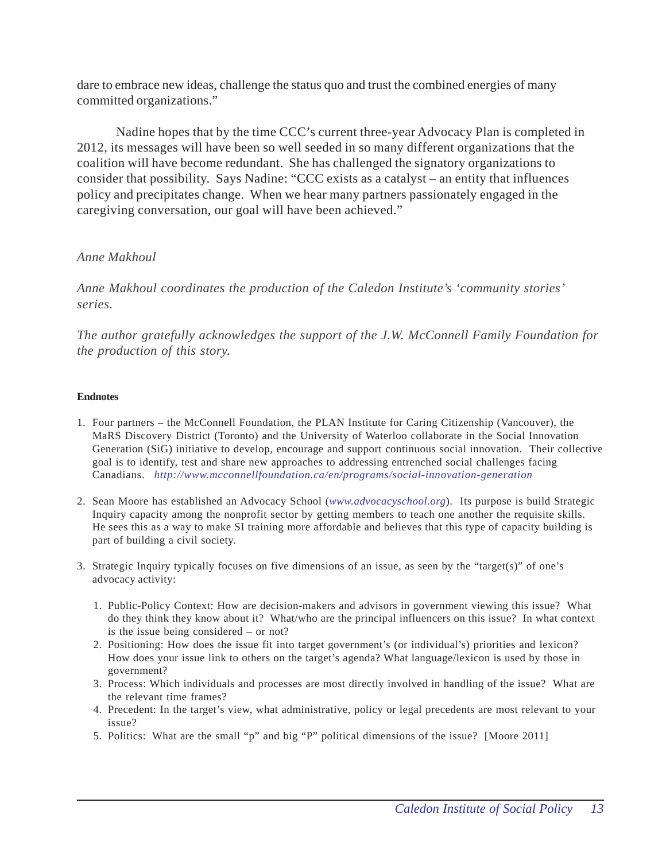dare to embrace new ideas, challenge the status quo and trust the combined energies of many committed organizations."

Nadine hopes that by the time CCC's current three-year Advocacy Plan is completed in 2012, its messages will have been so well seeded in so many different organizations that the coalition will have become redundant. She has challenged the signatory organizations to consider that possibility. Says Nadine: "CCC exists as a catalyst – an entity that influences policy and precipitates change. When we hear many partners passionately engaged in the caregiving conversation, our goal will have been achieved."

## *Anne Makhoul*

*Anne Makhoul coordinates the production of the Caledon Institute's 'community stories' series.*

*The author gratefully acknowledges the support of the J.W. McConnell Family Foundation for the production of this story.*

#### **Endnotes**

- 1. Four partners the McConnell Foundation, the PLAN Institute for Caring Citizenship (Vancouver), the MaRS Discovery District (Toronto) and the University of Waterloo collaborate in the Social Innovation Generation (SiG) initiative to develop, encourage and support continuous social innovation. Their collective goal is to identify, test and share new approaches to addressing entrenched social challenges facing Canadians. *http://www.mcconnellfoundation.ca/en/programs/social-innovation-generation*
- 2. Sean Moore has established an Advocacy School (*www.advocacyschool.org*). Its purpose is build Strategic Inquiry capacity among the nonprofit sector by getting members to teach one another the requisite skills. He sees this as a way to make SI training more affordable and believes that this type of capacity building is part of building a civil society.
- 3. Strategic Inquiry typically focuses on five dimensions of an issue, as seen by the "target(s)" of one's advocacy activity:
	- 1. Public-Policy Context: How are decision-makers and advisors in government viewing this issue? What do they think they know about it? What/who are the principal influencers on this issue? In what context is the issue being considered – or not?
	- 2. Positioning: How does the issue fit into target government's (or individual's) priorities and lexicon? How does your issue link to others on the target's agenda? What language/lexicon is used by those in government?
	- 3. Process: Which individuals and processes are most directly involved in handling of the issue? What are the relevant time frames?
	- 4. Precedent: In the target's view, what administrative, policy or legal precedents are most relevant to your issue?
	- 5. Politics: What are the small "p" and big "P" political dimensions of the issue? [Moore 2011]